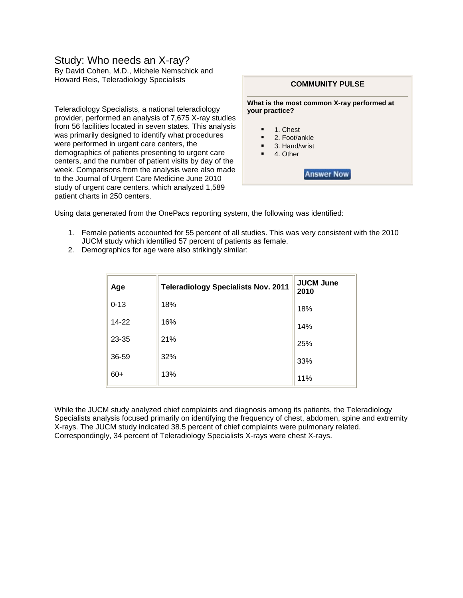## Study: Who needs an X-ray?

By David Cohen, M.D., Michele Nemschick and Howard Reis, Teleradiology Specialists

Teleradiology Specialists, a national teleradiology provider, performed an analysis of 7,675 X-ray studies from 56 facilities located in seven states. This analysis was primarily designed to identify what procedures were performed in urgent care centers, the demographics of patients presenting to urgent care centers, and the number of patient visits by day of the week. Comparisons from the analysis were also made to the Journal of Urgent Care Medicine June 2010 study of urgent care centers, which analyzed 1,589 patient charts in 250 centers.



Using data generated from the OnePacs reporting system, the following was identified:

- 1. Female patients accounted for 55 percent of all studies. This was very consistent with the 2010 JUCM study which identified 57 percent of patients as female.
- 2. Demographics for age were also strikingly similar:

| Age      | <b>Teleradiology Specialists Nov. 2011</b> | <b>JUCM June</b><br>2010 |
|----------|--------------------------------------------|--------------------------|
| $0 - 13$ | 18%                                        | 18%                      |
| 14-22    | 16%                                        | 14%                      |
| 23-35    | 21%                                        | 25%                      |
| 36-59    | 32%                                        | 33%                      |
| $60+$    | 13%                                        | 11%                      |

While the JUCM study analyzed chief complaints and diagnosis among its patients, the Teleradiology Specialists analysis focused primarily on identifying the frequency of chest, abdomen, spine and extremity X-rays. The JUCM study indicated 38.5 percent of chief complaints were pulmonary related. Correspondingly, 34 percent of Teleradiology Specialists X-rays were chest X-rays.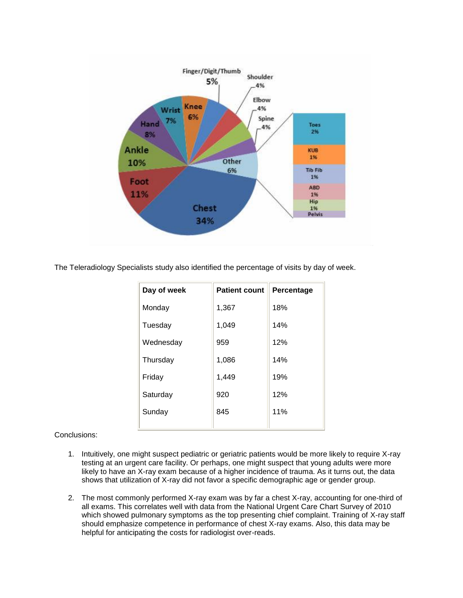

The Teleradiology Specialists study also identified the percentage of visits by day of week.

| Day of week | <b>Patient count</b> | Percentage |
|-------------|----------------------|------------|
| Monday      | 1,367                | 18%        |
| Tuesday     | 1,049                | 14%        |
| Wednesday   | 959                  | 12%        |
| Thursday    | 1,086                | 14%        |
| Friday      | 1,449                | 19%        |
| Saturday    | 920                  | 12%        |
| Sunday      | 845                  | 11%        |
|             |                      |            |

Conclusions:

- 1. Intuitively, one might suspect pediatric or geriatric patients would be more likely to require X-ray testing at an urgent care facility. Or perhaps, one might suspect that young adults were more likely to have an X-ray exam because of a higher incidence of trauma. As it turns out, the data shows that utilization of X-ray did not favor a specific demographic age or gender group.
- 2. The most commonly performed X-ray exam was by far a chest X-ray, accounting for one-third of all exams. This correlates well with data from the National Urgent Care Chart Survey of 2010 which showed pulmonary symptoms as the top presenting chief complaint. Training of X-ray staff should emphasize competence in performance of chest X-ray exams. Also, this data may be helpful for anticipating the costs for radiologist over-reads.